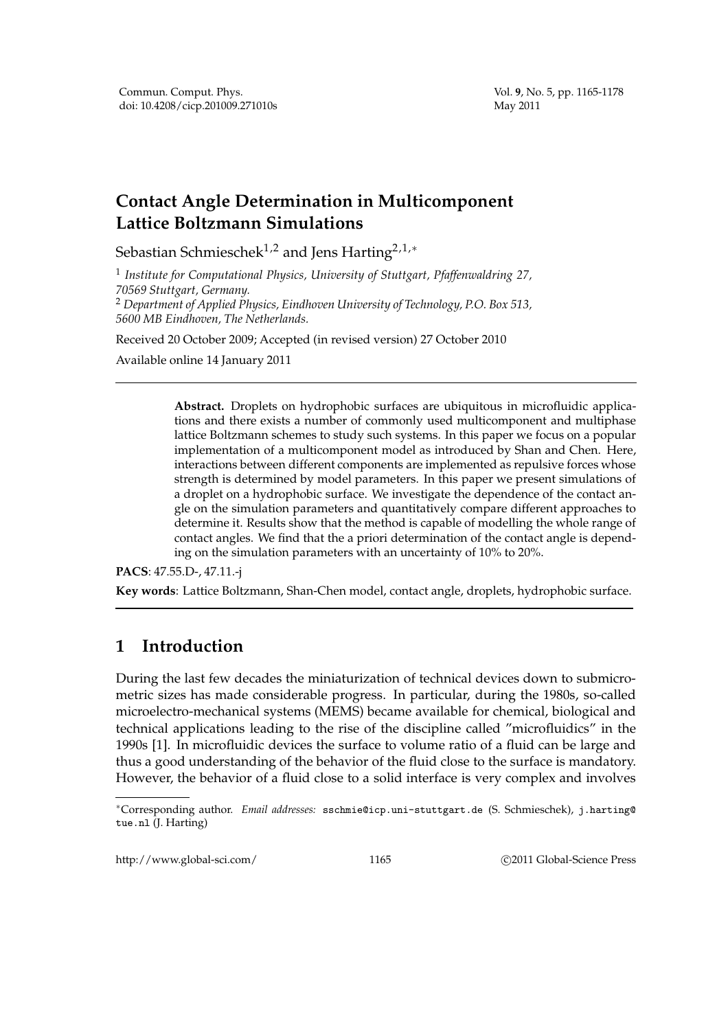# **Contact Angle Determination in Multicomponent Lattice Boltzmann Simulations**

Sebastian Schmieschek<sup>1,2</sup> and Jens Harting<sup>2,1,∗</sup>

1 *Institute for Computational Physics, University of Stuttgart, Pfaffenwaldring 27, 70569 Stuttgart, Germany.*

<sup>2</sup> *Department of Applied Physics, Eindhoven University of Technology, P.O. Box 513, 5600 MB Eindhoven, The Netherlands.*

Received 20 October 2009; Accepted (in revised version) 27 October 2010

Available online 14 January 2011

**Abstract.** Droplets on hydrophobic surfaces are ubiquitous in microfluidic applications and there exists a number of commonly used multicomponent and multiphase lattice Boltzmann schemes to study such systems. In this paper we focus on a popular implementation of a multicomponent model as introduced by Shan and Chen. Here, interactions between different components are implemented as repulsive forces whose strength is determined by model parameters. In this paper we present simulations of a droplet on a hydrophobic surface. We investigate the dependence of the contact angle on the simulation parameters and quantitatively compare different approaches to determine it. Results show that the method is capable of modelling the whole range of contact angles. We find that the a priori determination of the contact angle is depending on the simulation parameters with an uncertainty of 10% to 20%.

**PACS**: 47.55.D-, 47.11.-j

**Key words**: Lattice Boltzmann, Shan-Chen model, contact angle, droplets, hydrophobic surface.

# **1 Introduction**

During the last few decades the miniaturization of technical devices down to submicrometric sizes has made considerable progress. In particular, during the 1980s, so-called microelectro-mechanical systems (MEMS) became available for chemical, biological and technical applications leading to the rise of the discipline called "microfluidics" in the 1990s [1]. In microfluidic devices the surface to volume ratio of a fluid can be large and thus a good understanding of the behavior of the fluid close to the surface is mandatory. However, the behavior of a fluid close to a solid interface is very complex and involves

http://www.global-sci.com/ 1165 c 2011 Global-Science Press

<sup>∗</sup>Corresponding author. *Email addresses:* sschmie@icp.uni-stuttgart.de (S. Schmieschek), j.harting@ tue.nl (J. Harting)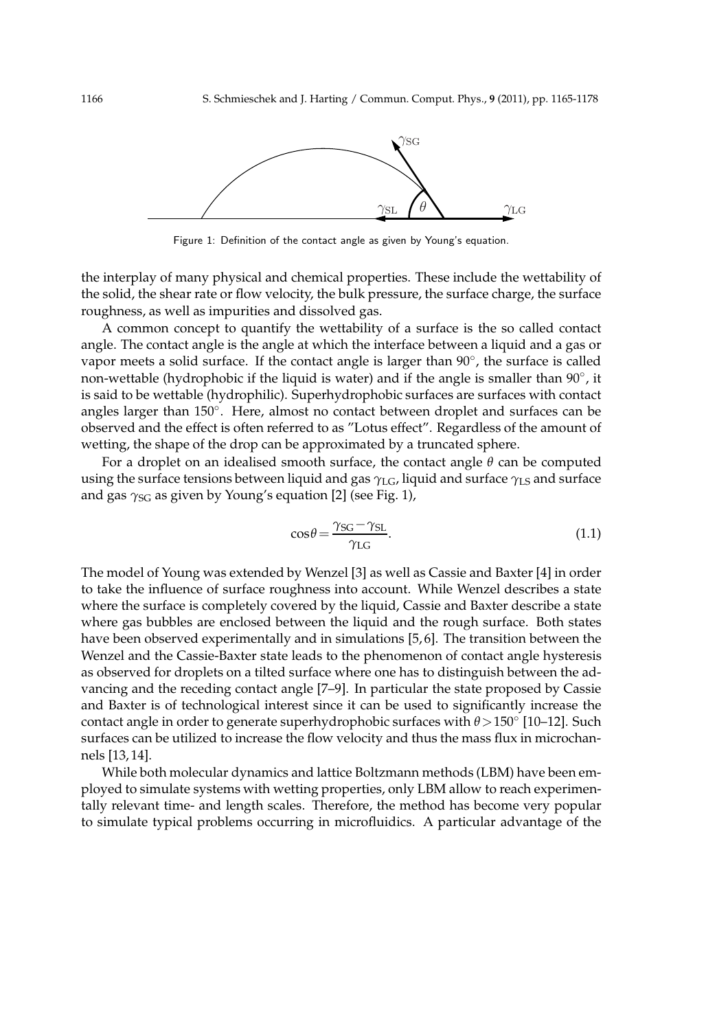

Figure 1: Definition of the contact angle as given by Young's equation.

the interplay of many physical and chemical properties. These include the wettability of the solid, the shear rate or flow velocity, the bulk pressure, the surface charge, the surface roughness, as well as impurities and dissolved gas.

A common concept to quantify the wettability of a surface is the so called contact angle. The contact angle is the angle at which the interface between a liquid and a gas or vapor meets a solid surface. If the contact angle is larger than 90°, the surface is called non-wettable (hydrophobic if the liquid is water) and if the angle is smaller than 90°, it is said to be wettable (hydrophilic). Superhydrophobic surfaces are surfaces with contact angles larger than 150◦ . Here, almost no contact between droplet and surfaces can be observed and the effect is often referred to as "Lotus effect". Regardless of the amount of wetting, the shape of the drop can be approximated by a truncated sphere.

For a droplet on an idealised smooth surface, the contact angle  $\theta$  can be computed using the surface tensions between liquid and gas *γ*<sub>LG</sub>, liquid and surface *γ*<sub>LS</sub> and surface and gas  $γ_{SG}$  as given by Young's equation [2] (see Fig. 1),

$$
\cos \theta = \frac{\gamma_{SG} - \gamma_{SL}}{\gamma_{LG}}.\tag{1.1}
$$

The model of Young was extended by Wenzel [3] as well as Cassie and Baxter [4] in order to take the influence of surface roughness into account. While Wenzel describes a state where the surface is completely covered by the liquid, Cassie and Baxter describe a state where gas bubbles are enclosed between the liquid and the rough surface. Both states have been observed experimentally and in simulations [5, 6]. The transition between the Wenzel and the Cassie-Baxter state leads to the phenomenon of contact angle hysteresis as observed for droplets on a tilted surface where one has to distinguish between the advancing and the receding contact angle [7–9]. In particular the state proposed by Cassie and Baxter is of technological interest since it can be used to significantly increase the contact angle in order to generate superhydrophobic surfaces with *θ*>150◦ [10–12]. Such surfaces can be utilized to increase the flow velocity and thus the mass flux in microchannels [13, 14].

While both molecular dynamics and lattice Boltzmann methods (LBM) have been employed to simulate systems with wetting properties, only LBM allow to reach experimentally relevant time- and length scales. Therefore, the method has become very popular to simulate typical problems occurring in microfluidics. A particular advantage of the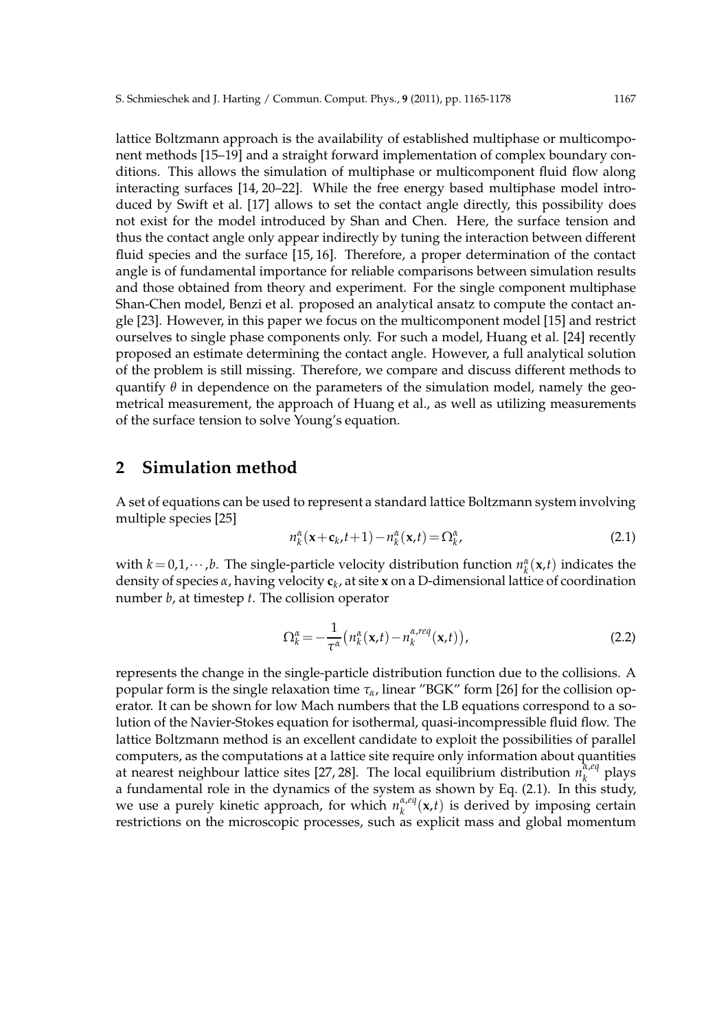lattice Boltzmann approach is the availability of established multiphase or multicomponent methods [15–19] and a straight forward implementation of complex boundary conditions. This allows the simulation of multiphase or multicomponent fluid flow along interacting surfaces [14, 20–22]. While the free energy based multiphase model introduced by Swift et al. [17] allows to set the contact angle directly, this possibility does not exist for the model introduced by Shan and Chen. Here, the surface tension and thus the contact angle only appear indirectly by tuning the interaction between different fluid species and the surface [15, 16]. Therefore, a proper determination of the contact angle is of fundamental importance for reliable comparisons between simulation results and those obtained from theory and experiment. For the single component multiphase Shan-Chen model, Benzi et al. proposed an analytical ansatz to compute the contact angle [23]. However, in this paper we focus on the multicomponent model [15] and restrict ourselves to single phase components only. For such a model, Huang et al. [24] recently proposed an estimate determining the contact angle. However, a full analytical solution of the problem is still missing. Therefore, we compare and discuss different methods to quantify  $\theta$  in dependence on the parameters of the simulation model, namely the geometrical measurement, the approach of Huang et al., as well as utilizing measurements of the surface tension to solve Young's equation.

# **2 Simulation method**

A set of equations can be used to represent a standard lattice Boltzmann system involving multiple species [25]

$$
n_k^{\alpha}(\mathbf{x}+\mathbf{c}_k,t+1) - n_k^{\alpha}(\mathbf{x},t) = \Omega_k^{\alpha},
$$
\n(2.1)

with  $k = 0, 1, \dots, b$ . The single-particle velocity distribution function  $n_k^{\alpha}(\mathbf{x}, t)$  indicates the density of species *α*, having velocity **c***<sup>k</sup>* , at site **x** on a D-dimensional lattice of coordination number *b*, at timestep *t*. The collision operator

$$
\Omega_k^{\alpha} = -\frac{1}{\tau^{\alpha}} \left( n_k^{\alpha}(\mathbf{x}, t) - n_k^{\alpha, \text{req}}(\mathbf{x}, t) \right), \tag{2.2}
$$

represents the change in the single-particle distribution function due to the collisions. A popular form is the single relaxation time *τα*, linear "BGK" form [26] for the collision operator. It can be shown for low Mach numbers that the LB equations correspond to a solution of the Navier-Stokes equation for isothermal, quasi-incompressible fluid flow. The lattice Boltzmann method is an excellent candidate to exploit the possibilities of parallel computers, as the computations at a lattice site require only information about quantities at nearest neighbour lattice sites [27, 28]. The local equilibrium distribution *n α*,*eq k* plays a fundamental role in the dynamics of the system as shown by Eq. (2.1). In this study, we use a purely kinetic approach, for which  $n_k^{\alpha,eq}$  $\int_{k}^{\alpha,eq}$  (**x**,*t*) is derived by imposing certain restrictions on the microscopic processes, such as explicit mass and global momentum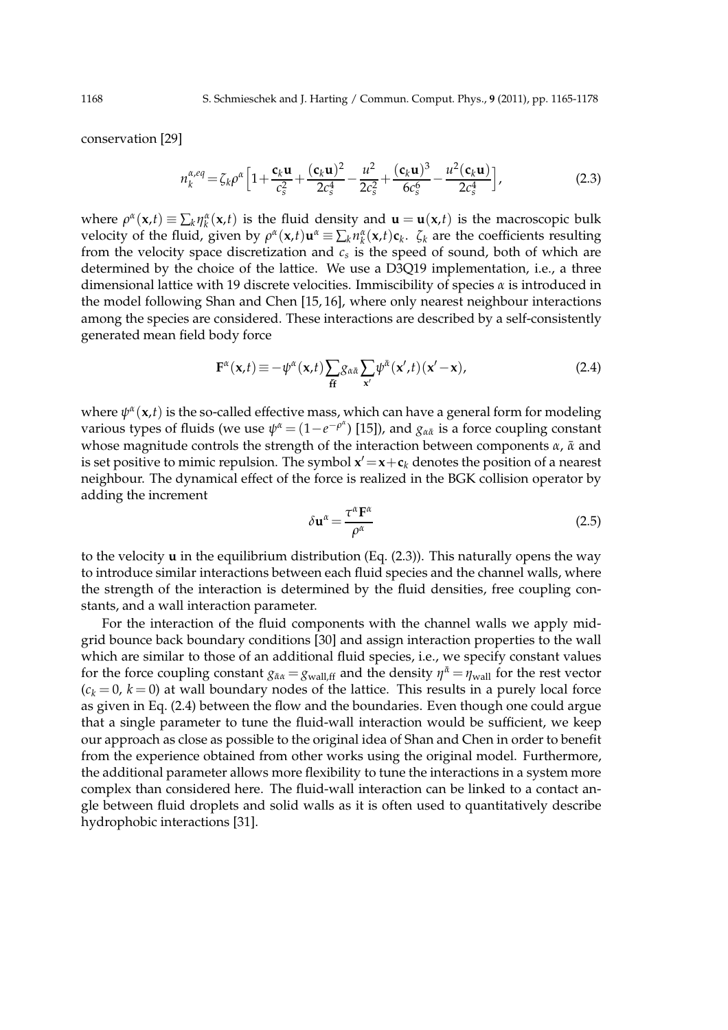conservation [29]

$$
n_k^{\alpha,eq} = \zeta_k \rho^{\alpha} \left[ 1 + \frac{\mathbf{c}_k \mathbf{u}}{c_s^2} + \frac{(\mathbf{c}_k \mathbf{u})^2}{2c_s^4} - \frac{u^2}{2c_s^2} + \frac{(\mathbf{c}_k \mathbf{u})^3}{6c_s^6} - \frac{u^2(\mathbf{c}_k \mathbf{u})}{2c_s^4} \right],
$$
(2.3)

where  $\rho^{\alpha}(\mathbf{x},t) \equiv \sum_{k} \eta^{\alpha}_{k}(\mathbf{x},t)$  is the fluid density and  $\mathbf{u} = \mathbf{u}(\mathbf{x},t)$  is the macroscopic bulk velocity of the fluid, given by  $\rho^{\alpha}(x,t)u^{\alpha} \equiv \sum_{k} n^{\alpha}_{k}(x,t)c_{k}$ .  $\zeta_{k}$  are the coefficients resulting from the velocity space discretization and *c<sup>s</sup>* is the speed of sound, both of which are determined by the choice of the lattice. We use a D3Q19 implementation, i.e., a three dimensional lattice with 19 discrete velocities. Immiscibility of species *α* is introduced in the model following Shan and Chen [15, 16], where only nearest neighbour interactions among the species are considered. These interactions are described by a self-consistently generated mean field body force

$$
\mathbf{F}^{\alpha}(\mathbf{x},t) \equiv -\psi^{\alpha}(\mathbf{x},t) \sum_{\tilde{\mathbf{H}}} g_{\alpha\tilde{\alpha}} \sum_{\mathbf{x}'} \psi^{\tilde{\alpha}}(\mathbf{x}',t) (\mathbf{x}'-\mathbf{x}), \tag{2.4}
$$

where  $\psi^{\alpha}(\mathbf{x},t)$  is the so-called effective mass, which can have a general form for modeling various types of fluids (we use  $\psi^{\alpha} = (1 - e^{-\rho^{\alpha}})$  [15]), and  $g_{\alpha\bar{\alpha}}$  is a force coupling constant whose magnitude controls the strength of the interaction between components *α*, *α* and is set positive to mimic repulsion. The symbol  $x' = x + c_k$  denotes the position of a nearest neighbour. The dynamical effect of the force is realized in the BGK collision operator by adding the increment

$$
\delta \mathbf{u}^{\alpha} = \frac{\tau^{\alpha} \mathbf{F}^{\alpha}}{\rho^{\alpha}}
$$
 (2.5)

to the velocity **u** in the equilibrium distribution (Eq. (2.3)). This naturally opens the way to introduce similar interactions between each fluid species and the channel walls, where the strength of the interaction is determined by the fluid densities, free coupling constants, and a wall interaction parameter.

For the interaction of the fluid components with the channel walls we apply midgrid bounce back boundary conditions [30] and assign interaction properties to the wall which are similar to those of an additional fluid species, i.e., we specify constant values for the force coupling constant  $g_{\bar{\alpha}a} = g_{wall,ff}$  and the density  $\eta^{\bar{a}} = \eta_{wall}$  for the rest vector  $(c_k = 0, k = 0)$  at wall boundary nodes of the lattice. This results in a purely local force as given in Eq. (2.4) between the flow and the boundaries. Even though one could argue that a single parameter to tune the fluid-wall interaction would be sufficient, we keep our approach as close as possible to the original idea of Shan and Chen in order to benefit from the experience obtained from other works using the original model. Furthermore, the additional parameter allows more flexibility to tune the interactions in a system more complex than considered here. The fluid-wall interaction can be linked to a contact angle between fluid droplets and solid walls as it is often used to quantitatively describe hydrophobic interactions [31].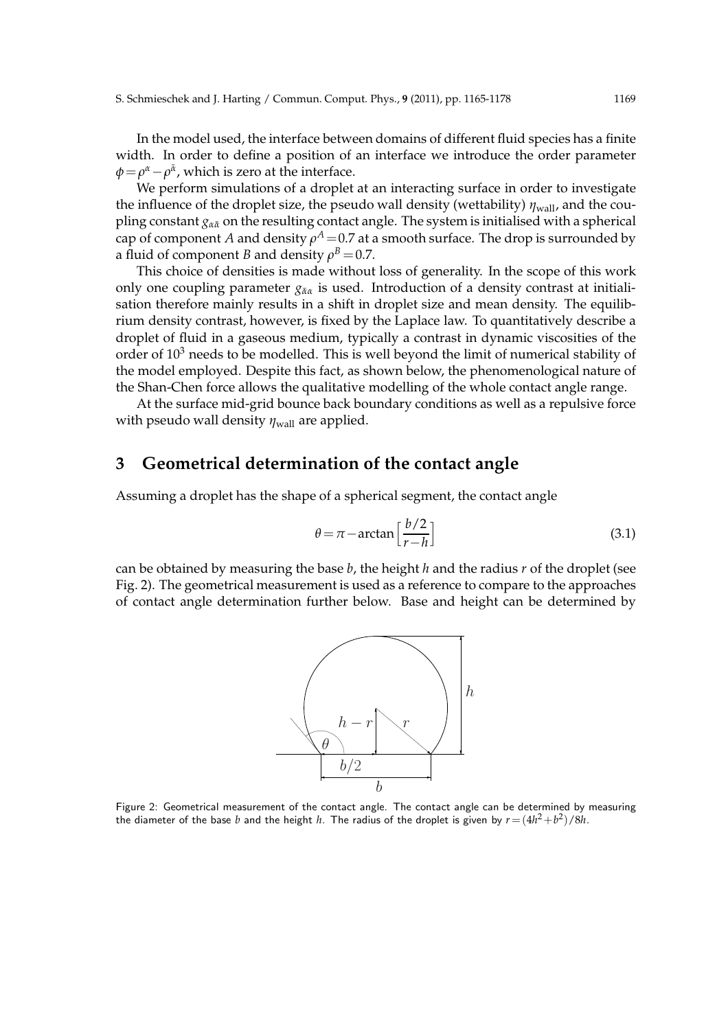In the model used, the interface between domains of different fluid species has a finite width. In order to define a position of an interface we introduce the order parameter  $\phi = \rho^{\alpha} - \rho^{\bar{\alpha}}$ , which is zero at the interface.

We perform simulations of a droplet at an interacting surface in order to investigate the influence of the droplet size, the pseudo wall density (wettability)  $\eta_{\text{wall}}$ , and the coupling constant *gαα*¯ on the resulting contact angle. The system is initialised with a spherical  $\mathop{\mathsf{cap}}$  of component  $A$  and density  $\rho^A\!=\!0.7$  at a smooth surface. The drop is surrounded by a fluid of component *B* and density  $\rho^B\!=\!0.7.$ 

This choice of densities is made without loss of generality. In the scope of this work only one coupling parameter  $g_{\bar{\alpha}\alpha}$  is used. Introduction of a density contrast at initialisation therefore mainly results in a shift in droplet size and mean density. The equilibrium density contrast, however, is fixed by the Laplace law. To quantitatively describe a droplet of fluid in a gaseous medium, typically a contrast in dynamic viscosities of the order of  $10<sup>3</sup>$  needs to be modelled. This is well beyond the limit of numerical stability of the model employed. Despite this fact, as shown below, the phenomenological nature of the Shan-Chen force allows the qualitative modelling of the whole contact angle range.

At the surface mid-grid bounce back boundary conditions as well as a repulsive force with pseudo wall density  $η<sub>wall</sub>$  are applied.

# **3 Geometrical determination of the contact angle**

Assuming a droplet has the shape of a spherical segment, the contact angle

$$
\theta = \pi - \arctan\left[\frac{b/2}{r - h}\right] \tag{3.1}
$$

can be obtained by measuring the base *b*, the height *h* and the radius *r* of the droplet (see Fig. 2). The geometrical measurement is used as a reference to compare to the approaches of contact angle determination further below. Base and height can be determined by



Figure 2: Geometrical measurement of the contact angle. The contact angle can be determined by measuring the diameter of the base  $b$  and the height  $h$ . The radius of the droplet is given by  $r\!=\!(4h^2\!+\!b^2)/8h$ .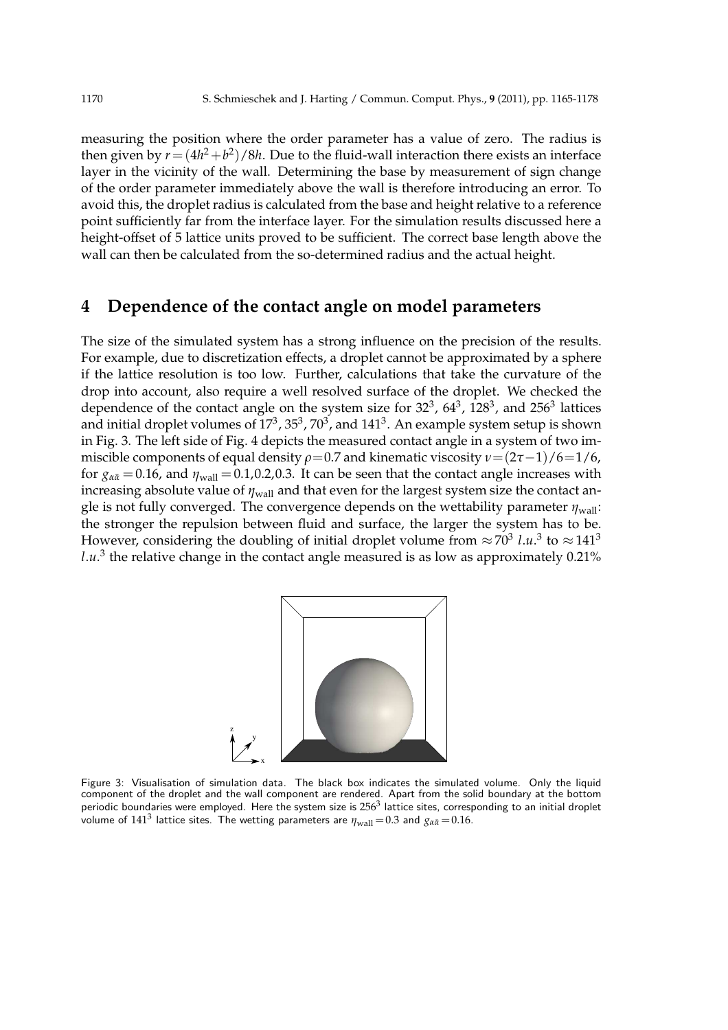measuring the position where the order parameter has a value of zero. The radius is then given by  $r = (4h^2 + b^2)/8h$ . Due to the fluid-wall interaction there exists an interface layer in the vicinity of the wall. Determining the base by measurement of sign change of the order parameter immediately above the wall is therefore introducing an error. To avoid this, the droplet radius is calculated from the base and height relative to a reference point sufficiently far from the interface layer. For the simulation results discussed here a height-offset of 5 lattice units proved to be sufficient. The correct base length above the wall can then be calculated from the so-determined radius and the actual height.

# **4 Dependence of the contact angle on model parameters**

The size of the simulated system has a strong influence on the precision of the results. For example, due to discretization effects, a droplet cannot be approximated by a sphere if the lattice resolution is too low. Further, calculations that take the curvature of the drop into account, also require a well resolved surface of the droplet. We checked the dependence of the contact angle on the system size for  $32^3$ ,  $64^3$ ,  $128^3$ , and  $256^3$  lattices and initial droplet volumes of 17 $^3$ , 35 $^3$ , 70 $^3$ , and 141 $^3$ . An example system setup is shown in Fig. 3. The left side of Fig. 4 depicts the measured contact angle in a system of two immiscible components of equal density  $\rho$ =0.7 and kinematic viscosity  $v=(2\tau-1)/6=1/6$ , for  $g_{\alpha\bar{\alpha}} = 0.16$ , and  $\eta_{\text{wall}} = 0.1, 0.2, 0.3$ . It can be seen that the contact angle increases with increasing absolute value of *η*wall and that even for the largest system size the contact angle is not fully converged. The convergence depends on the wettability parameter  $η<sub>wall</sub>$ : the stronger the repulsion between fluid and surface, the larger the system has to be. However, considering the doubling of initial droplet volume from  $\approx 70^3$  l.u.<sup>3</sup> to  $\approx 141^3$  $l.u.^3$  the relative change in the contact angle measured is as low as approximately  $0.21\%$ 



Figure 3: Visualisation of simulation data. The black box indicates the simulated volume. Only the liquid component of the droplet and the wall component are rendered. Apart from the solid boundary at the bottom periodic boundaries were employed. Here the system size is  $256^3$  lattice sites, corresponding to an initial droplet volume of  $141^3$  lattice sites. The wetting parameters are  $\eta_{\mathrm{wall}}\!=\!0.3$  and  $g_{\alpha {\bar{\alpha}}}\!=\!0.16.$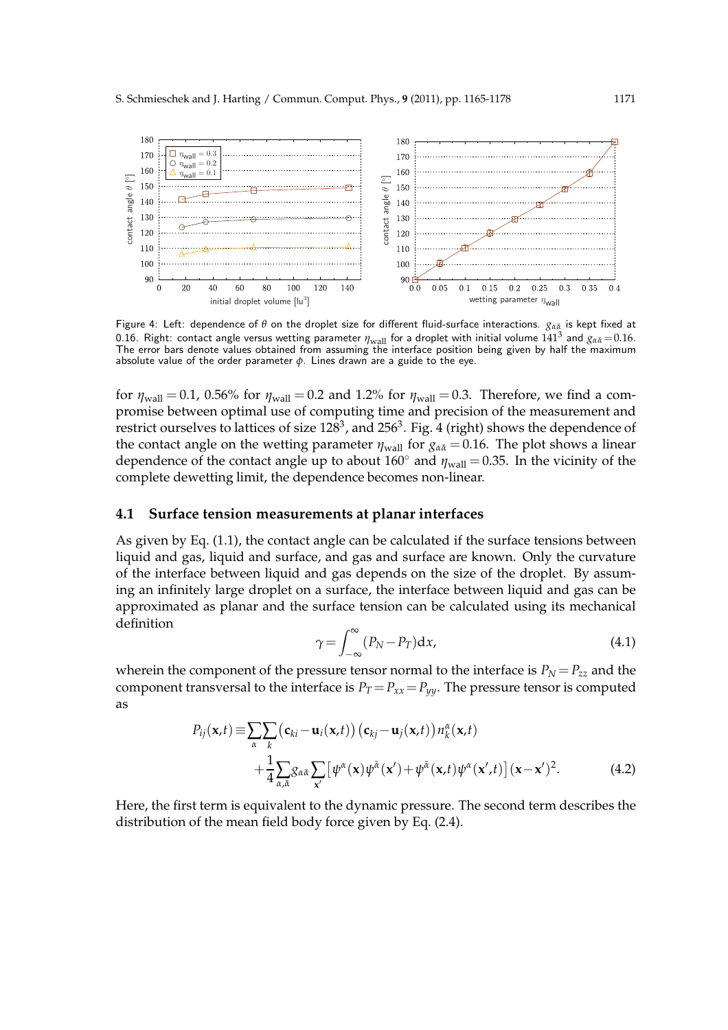

Figure 4: Left: dependence of *θ* on the droplet size for different fluid-surface interactions. *gαα*¯ is kept fixed at 0.16. Right: contact angle versus wetting parameter  $\eta_{wall}$  for a droplet with initial volume 141<sup>3</sup> and  $g_{\alpha\bar{\alpha}} = 0.16$ . The error bars denote values obtained from assuming the interface position being given by half the maximum absolute value of the order parameter *φ*. Lines drawn are a guide to the eye.

for  $\eta_{\text{wall}} = 0.1$ , 0.56% for  $\eta_{\text{wall}} = 0.2$  and 1.2% for  $\eta_{\text{wall}} = 0.3$ . Therefore, we find a compromise between optimal use of computing time and precision of the measurement and restrict ourselves to lattices of size  $128^3$ , and  $256^3$ . Fig. 4 (right) shows the dependence of the contact angle on the wetting parameter  $\eta_{\text{wall}}$  for  $g_{\alpha \bar{\alpha}} = 0.16$ . The plot shows a linear dependence of the contact angle up to about  $160^\circ$  and  $\eta_{\text{wall}} = 0.35$ . In the vicinity of the complete dewetting limit, the dependence becomes non-linear.

### **4.1 Surface tension measurements at planar interfaces**

As given by Eq. (1.1), the contact angle can be calculated if the surface tensions between liquid and gas, liquid and surface, and gas and surface are known. Only the curvature of the interface between liquid and gas depends on the size of the droplet. By assuming an infinitely large droplet on a surface, the interface between liquid and gas can be approximated as planar and the surface tension can be calculated using its mechanical definition

$$
\gamma = \int_{-\infty}^{\infty} (P_N - P_T) \mathrm{d}x,\tag{4.1}
$$

wherein the component of the pressure tensor normal to the interface is  $P_N = P_{zz}$  and the component transversal to the interface is  $P_T = P_{xx} = P_{yy}$ . The pressure tensor is computed as

$$
P_{ij}(\mathbf{x},t) \equiv \sum_{\alpha} \sum_{k} (\mathbf{c}_{ki} - \mathbf{u}_i(\mathbf{x},t)) (\mathbf{c}_{kj} - \mathbf{u}_j(\mathbf{x},t)) n_k^{\alpha}(\mathbf{x},t) + \frac{1}{4} \sum_{\alpha,\bar{\alpha}} g_{\alpha\bar{\alpha}} \sum_{\mathbf{x}'} [\psi^{\alpha}(\mathbf{x}) \psi^{\bar{\alpha}}(\mathbf{x}') + \psi^{\bar{\alpha}}(\mathbf{x},t) \psi^{\alpha}(\mathbf{x}',t)] (\mathbf{x}-\mathbf{x}')^2.
$$
 (4.2)

Here, the first term is equivalent to the dynamic pressure. The second term describes the distribution of the mean field body force given by Eq. (2.4).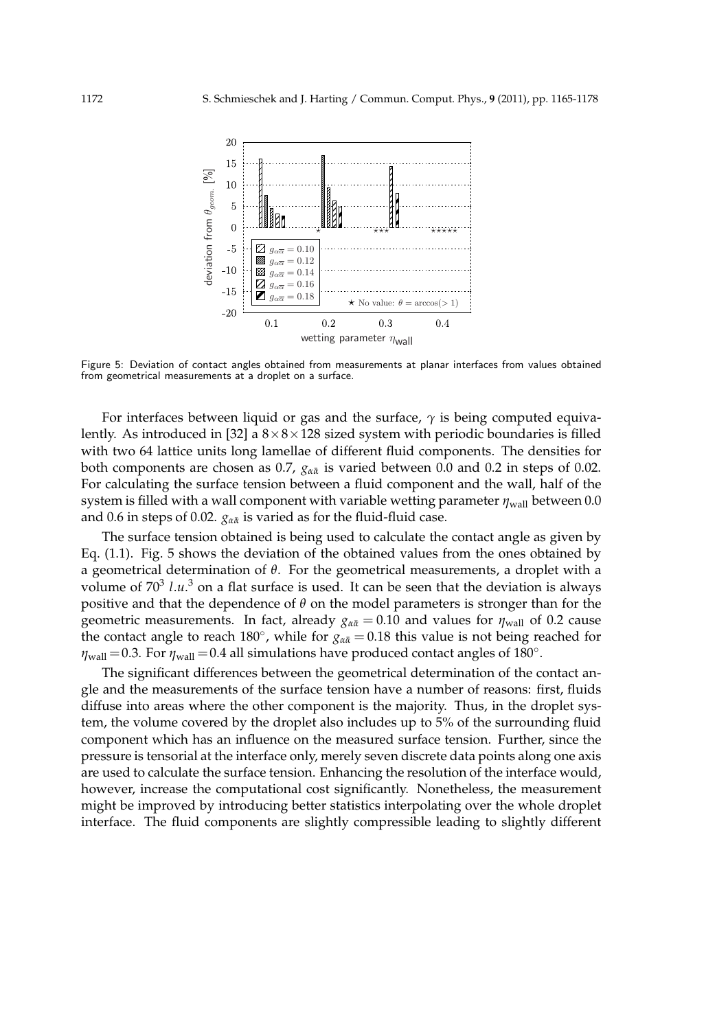

Figure 5: Deviation of contact angles obtained from measurements at planar interfaces from values obtained from geometrical measurements at a droplet on a surface.

For interfaces between liquid or gas and the surface, *γ* is being computed equivalently. As introduced in [32] a  $8 \times 8 \times 128$  sized system with periodic boundaries is filled with two 64 lattice units long lamellae of different fluid components. The densities for both components are chosen as 0.7, *gαα*¯ is varied between 0.0 and 0.2 in steps of 0.02. For calculating the surface tension between a fluid component and the wall, half of the system is filled with a wall component with variable wetting parameter  $\eta_{\text{wall}}$  between 0.0 and 0.6 in steps of 0.02.  $g_{\alpha\bar{\alpha}}$  is varied as for the fluid-fluid case.

The surface tension obtained is being used to calculate the contact angle as given by Eq. (1.1). Fig. 5 shows the deviation of the obtained values from the ones obtained by a geometrical determination of *θ*. For the geometrical measurements, a droplet with a volume of 70<sup>3</sup> *l.u.*<sup>3</sup> on a flat surface is used. It can be seen that the deviation is always positive and that the dependence of *θ* on the model parameters is stronger than for the geometric measurements. In fact, already  $g_{\alpha\bar{\alpha}} = 0.10$  and values for  $\eta_{\text{wall}}$  of 0.2 cause the contact angle to reach 180°, while for  $g_{\alpha\bar{\alpha}} = 0.18$  this value is not being reached for  $\eta_{\text{wall}} = 0.3$ . For  $\eta_{\text{wall}} = 0.4$  all simulations have produced contact angles of 180<sup>°</sup>.

The significant differences between the geometrical determination of the contact angle and the measurements of the surface tension have a number of reasons: first, fluids diffuse into areas where the other component is the majority. Thus, in the droplet system, the volume covered by the droplet also includes up to 5% of the surrounding fluid component which has an influence on the measured surface tension. Further, since the pressure is tensorial at the interface only, merely seven discrete data points along one axis are used to calculate the surface tension. Enhancing the resolution of the interface would, however, increase the computational cost significantly. Nonetheless, the measurement might be improved by introducing better statistics interpolating over the whole droplet interface. The fluid components are slightly compressible leading to slightly different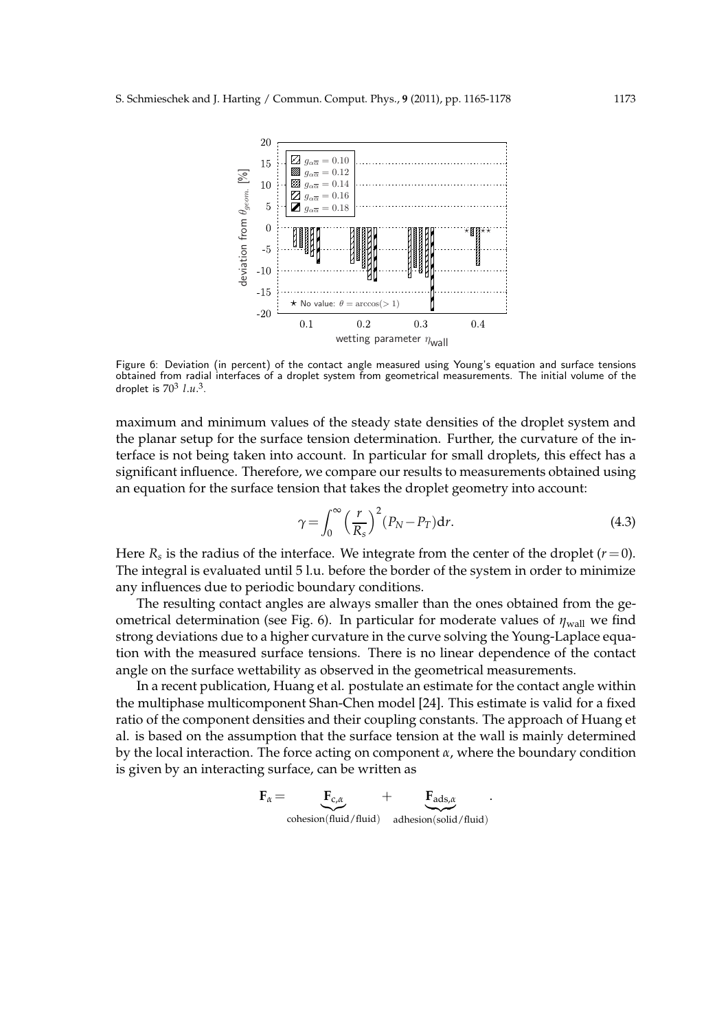

Figure 6: Deviation (in percent) of the contact angle measured using Young's equation and surface tensions obtained from radial interfaces of a droplet system from geometrical measurements. The initial volume of the droplet is 70<sup>3</sup> *l*.*u*. 3 .

maximum and minimum values of the steady state densities of the droplet system and the planar setup for the surface tension determination. Further, the curvature of the interface is not being taken into account. In particular for small droplets, this effect has a significant influence. Therefore, we compare our results to measurements obtained using an equation for the surface tension that takes the droplet geometry into account:

$$
\gamma = \int_0^\infty \left(\frac{r}{R_s}\right)^2 (P_N - P_T) \mathrm{d}r. \tag{4.3}
$$

Here  $R_s$  is the radius of the interface. We integrate from the center of the droplet  $(r=0)$ . The integral is evaluated until 5 l.u. before the border of the system in order to minimize any influences due to periodic boundary conditions.

The resulting contact angles are always smaller than the ones obtained from the geometrical determination (see Fig. 6). In particular for moderate values of  $\eta_{\text{wall}}$  we find strong deviations due to a higher curvature in the curve solving the Young-Laplace equation with the measured surface tensions. There is no linear dependence of the contact angle on the surface wettability as observed in the geometrical measurements.

In a recent publication, Huang et al. postulate an estimate for the contact angle within the multiphase multicomponent Shan-Chen model [24]. This estimate is valid for a fixed ratio of the component densities and their coupling constants. The approach of Huang et al. is based on the assumption that the surface tension at the wall is mainly determined by the local interaction. The force acting on component *α*, where the boundary condition is given by an interacting surface, can be written as

$$
\mathbf{F}_{\alpha} = \underbrace{\mathbf{F}_{c,\alpha}}_{\text{cohesion(fuid/fluid)}} + \underbrace{\mathbf{F}_{\text{ads},\alpha}}_{\text{adhesion(solid/fluid)}}.
$$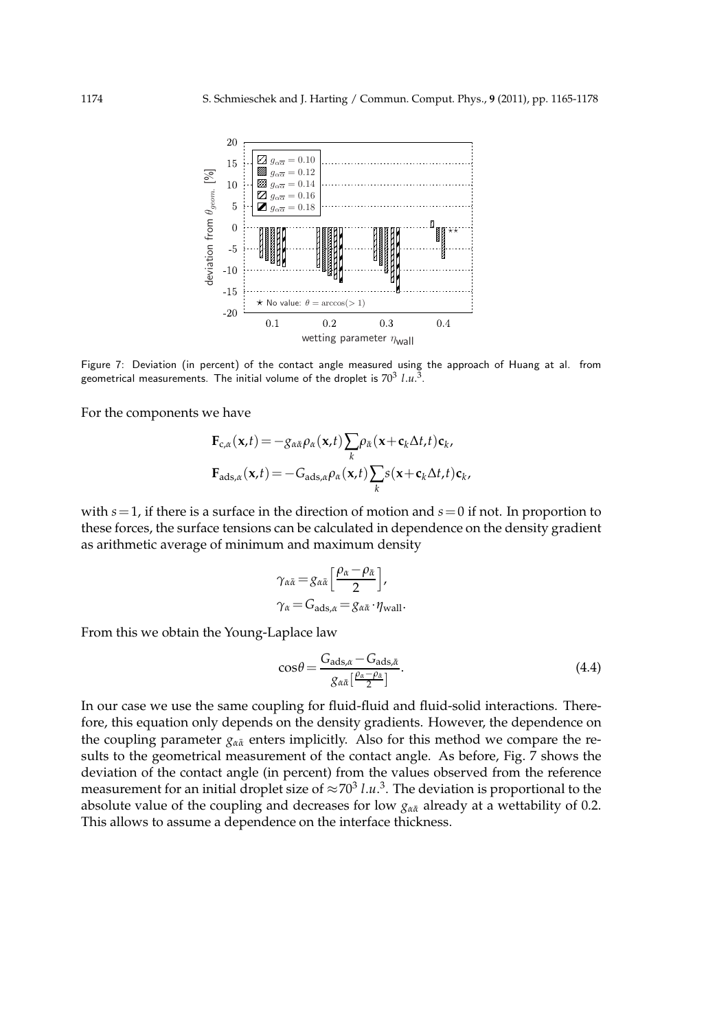

Figure 7: Deviation (in percent) of the contact angle measured using the approach of Huang at al. from geometrical measurements. The initial volume of the droplet is  $70^3$   $l.u.^3$ .

For the components we have

$$
\mathbf{F}_{c,\alpha}(\mathbf{x},t) = -g_{\alpha\bar{\alpha}}\rho_{\alpha}(\mathbf{x},t)\sum_{k}\rho_{\bar{\alpha}}(\mathbf{x}+\mathbf{c}_k\Delta t,t)\mathbf{c}_k,
$$

$$
\mathbf{F}_{\mathrm{ads},\alpha}(\mathbf{x},t) = -G_{\mathrm{ads},\alpha}\rho_{\alpha}(\mathbf{x},t)\sum_{k}s(\mathbf{x}+\mathbf{c}_k\Delta t,t)\mathbf{c}_k,
$$

with *s*=1, if there is a surface in the direction of motion and *s*=0 if not. In proportion to these forces, the surface tensions can be calculated in dependence on the density gradient as arithmetic average of minimum and maximum density

$$
\gamma_{\alpha\bar{\alpha}} = g_{\alpha\bar{\alpha}} \left[ \frac{\rho_{\alpha} - \rho_{\bar{\alpha}}}{2} \right],
$$
  

$$
\gamma_{\alpha} = G_{\text{ads},\alpha} = g_{\alpha\bar{\alpha}} \cdot \eta_{\text{wall}}.
$$

From this we obtain the Young-Laplace law

$$
\cos\theta = \frac{G_{\text{ads},\alpha} - G_{\text{ads},\bar{\alpha}}}{g_{\alpha\bar{\alpha}}\left[\frac{\rho_{\alpha} - \rho_{\bar{\alpha}}}{2}\right]}.
$$
\n(4.4)

In our case we use the same coupling for fluid-fluid and fluid-solid interactions. Therefore, this equation only depends on the density gradients. However, the dependence on the coupling parameter  $g_{\alpha\bar{\alpha}}$  enters implicitly. Also for this method we compare the results to the geometrical measurement of the contact angle. As before, Fig. 7 shows the deviation of the contact angle (in percent) from the values observed from the reference measurement for an initial droplet size of  $\approx 70^3$  *l.u.*<sup>3</sup>. The deviation is proportional to the absolute value of the coupling and decreases for low  $g_{\alpha\bar{\alpha}}$  already at a wettability of 0.2. This allows to assume a dependence on the interface thickness.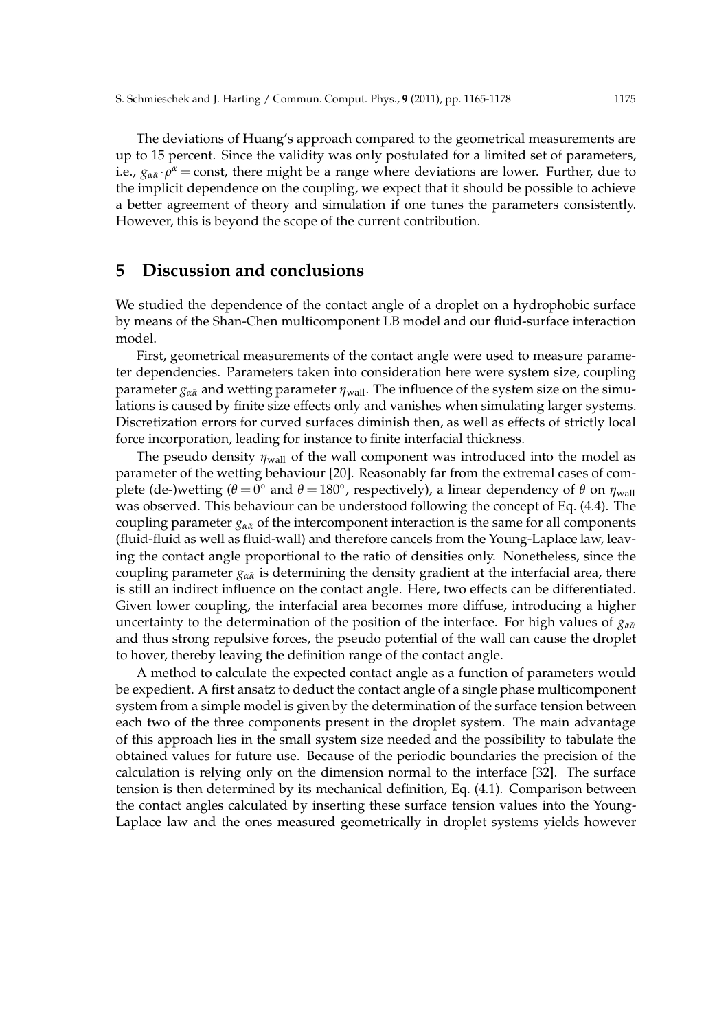The deviations of Huang's approach compared to the geometrical measurements are up to 15 percent. Since the validity was only postulated for a limited set of parameters, i.e.,  $g_{\alpha\bar{\alpha}} \cdot \rho^{\alpha} = \text{const}$ , there might be a range where deviations are lower. Further, due to the implicit dependence on the coupling, we expect that it should be possible to achieve a better agreement of theory and simulation if one tunes the parameters consistently. However, this is beyond the scope of the current contribution.

# **5 Discussion and conclusions**

We studied the dependence of the contact angle of a droplet on a hydrophobic surface by means of the Shan-Chen multicomponent LB model and our fluid-surface interaction model.

First, geometrical measurements of the contact angle were used to measure parameter dependencies. Parameters taken into consideration here were system size, coupling parameter  $g_{\alpha\bar{\alpha}}$  and wetting parameter  $\eta_{\text{wall}}$ . The influence of the system size on the simulations is caused by finite size effects only and vanishes when simulating larger systems. Discretization errors for curved surfaces diminish then, as well as effects of strictly local force incorporation, leading for instance to finite interfacial thickness.

The pseudo density  $\eta_{\text{wall}}$  of the wall component was introduced into the model as parameter of the wetting behaviour [20]. Reasonably far from the extremal cases of com- $\vec{p}$  plete (de-)wetting ( $\theta = 0^\circ$  and  $\theta = 180^\circ$ , respectively), a linear dependency of  $\theta$  on  $\eta_{\text{wall}}$ was observed. This behaviour can be understood following the concept of Eq. (4.4). The coupling parameter  $g_{\alpha\bar{\alpha}}$  of the intercomponent interaction is the same for all components (fluid-fluid as well as fluid-wall) and therefore cancels from the Young-Laplace law, leaving the contact angle proportional to the ratio of densities only. Nonetheless, since the coupling parameter  $g_{\alpha\bar{\alpha}}$  is determining the density gradient at the interfacial area, there is still an indirect influence on the contact angle. Here, two effects can be differentiated. Given lower coupling, the interfacial area becomes more diffuse, introducing a higher uncertainty to the determination of the position of the interface. For high values of *g*<sub>α $\bar{α}$ </sub> and thus strong repulsive forces, the pseudo potential of the wall can cause the droplet to hover, thereby leaving the definition range of the contact angle.

A method to calculate the expected contact angle as a function of parameters would be expedient. A first ansatz to deduct the contact angle of a single phase multicomponent system from a simple model is given by the determination of the surface tension between each two of the three components present in the droplet system. The main advantage of this approach lies in the small system size needed and the possibility to tabulate the obtained values for future use. Because of the periodic boundaries the precision of the calculation is relying only on the dimension normal to the interface [32]. The surface tension is then determined by its mechanical definition, Eq. (4.1). Comparison between the contact angles calculated by inserting these surface tension values into the Young-Laplace law and the ones measured geometrically in droplet systems yields however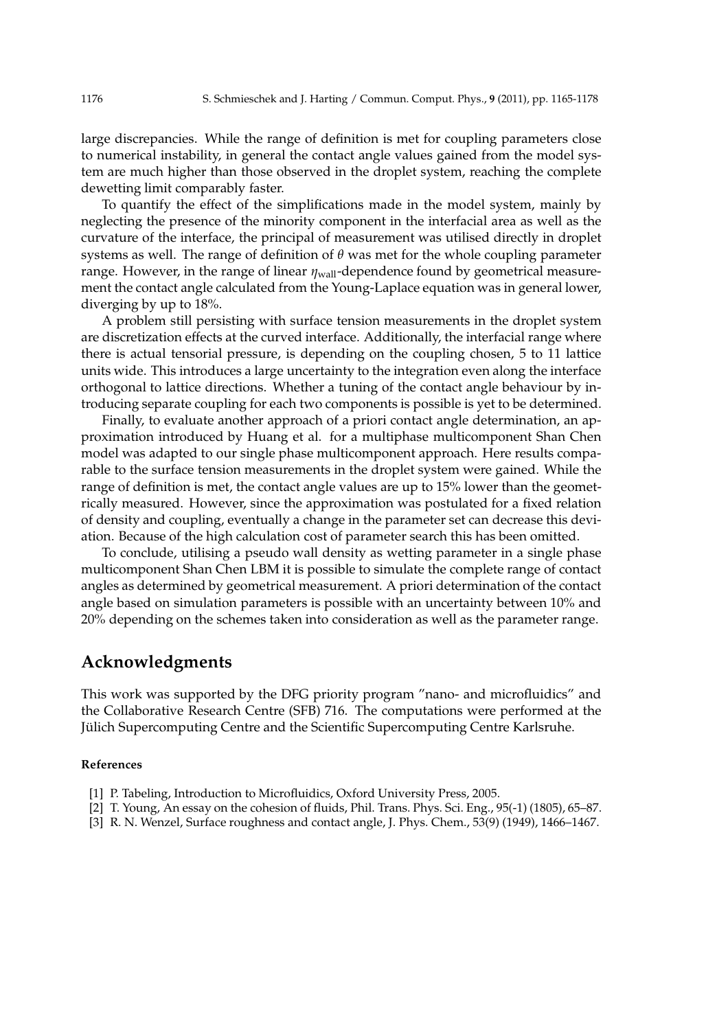large discrepancies. While the range of definition is met for coupling parameters close to numerical instability, in general the contact angle values gained from the model system are much higher than those observed in the droplet system, reaching the complete dewetting limit comparably faster.

To quantify the effect of the simplifications made in the model system, mainly by neglecting the presence of the minority component in the interfacial area as well as the curvature of the interface, the principal of measurement was utilised directly in droplet systems as well. The range of definition of *θ* was met for the whole coupling parameter range. However, in the range of linear *η*wall-dependence found by geometrical measurement the contact angle calculated from the Young-Laplace equation was in general lower, diverging by up to 18%.

A problem still persisting with surface tension measurements in the droplet system are discretization effects at the curved interface. Additionally, the interfacial range where there is actual tensorial pressure, is depending on the coupling chosen, 5 to 11 lattice units wide. This introduces a large uncertainty to the integration even along the interface orthogonal to lattice directions. Whether a tuning of the contact angle behaviour by introducing separate coupling for each two components is possible is yet to be determined.

Finally, to evaluate another approach of a priori contact angle determination, an approximation introduced by Huang et al. for a multiphase multicomponent Shan Chen model was adapted to our single phase multicomponent approach. Here results comparable to the surface tension measurements in the droplet system were gained. While the range of definition is met, the contact angle values are up to 15% lower than the geometrically measured. However, since the approximation was postulated for a fixed relation of density and coupling, eventually a change in the parameter set can decrease this deviation. Because of the high calculation cost of parameter search this has been omitted.

To conclude, utilising a pseudo wall density as wetting parameter in a single phase multicomponent Shan Chen LBM it is possible to simulate the complete range of contact angles as determined by geometrical measurement. A priori determination of the contact angle based on simulation parameters is possible with an uncertainty between 10% and 20% depending on the schemes taken into consideration as well as the parameter range.

### **Acknowledgments**

This work was supported by the DFG priority program "nano- and microfluidics" and the Collaborative Research Centre (SFB) 716. The computations were performed at the Jülich Supercomputing Centre and the Scientific Supercomputing Centre Karlsruhe.

#### **References**

- [1] P. Tabeling, Introduction to Microfluidics, Oxford University Press, 2005.
- [2] T. Young, An essay on the cohesion of fluids, Phil. Trans. Phys. Sci. Eng., 95(-1) (1805), 65–87.
- [3] R. N. Wenzel, Surface roughness and contact angle, J. Phys. Chem., 53(9) (1949), 1466–1467.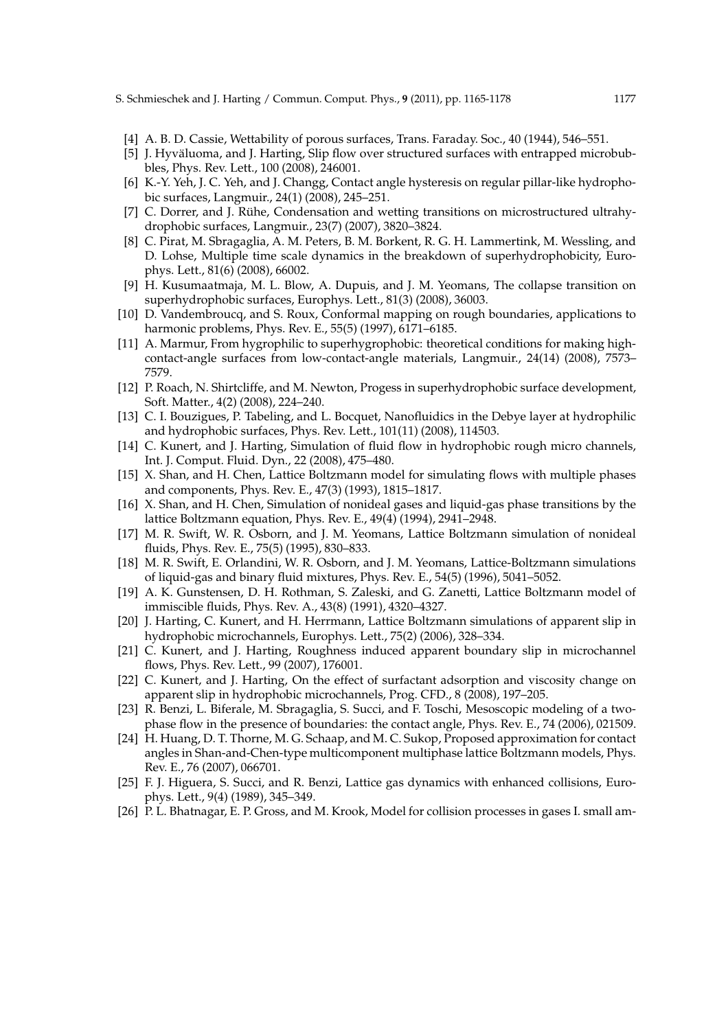- [4] A. B. D. Cassie, Wettability of porous surfaces, Trans. Faraday. Soc., 40 (1944), 546–551.
- [5] J. Hyväluoma, and J. Harting, Slip flow over structured surfaces with entrapped microbubbles, Phys. Rev. Lett., 100 (2008), 246001.
- [6] K.-Y. Yeh, J. C. Yeh, and J. Changg, Contact angle hysteresis on regular pillar-like hydrophobic surfaces, Langmuir., 24(1) (2008), 245–251.
- [7] C. Dorrer, and J. Rühe, Condensation and wetting transitions on microstructured ultrahydrophobic surfaces, Langmuir., 23(7) (2007), 3820–3824.
- [8] C. Pirat, M. Sbragaglia, A. M. Peters, B. M. Borkent, R. G. H. Lammertink, M. Wessling, and D. Lohse, Multiple time scale dynamics in the breakdown of superhydrophobicity, Europhys. Lett., 81(6) (2008), 66002.
- [9] H. Kusumaatmaja, M. L. Blow, A. Dupuis, and J. M. Yeomans, The collapse transition on superhydrophobic surfaces, Europhys. Lett., 81(3) (2008), 36003.
- [10] D. Vandembroucq, and S. Roux, Conformal mapping on rough boundaries, applications to harmonic problems, Phys. Rev. E., 55(5) (1997), 6171–6185.
- [11] A. Marmur, From hygrophilic to superhygrophobic: theoretical conditions for making highcontact-angle surfaces from low-contact-angle materials, Langmuir., 24(14) (2008), 7573– 7579.
- [12] P. Roach, N. Shirtcliffe, and M. Newton, Progess in superhydrophobic surface development, Soft. Matter., 4(2) (2008), 224–240.
- [13] C. I. Bouzigues, P. Tabeling, and L. Bocquet, Nanofluidics in the Debye layer at hydrophilic and hydrophobic surfaces, Phys. Rev. Lett., 101(11) (2008), 114503.
- [14] C. Kunert, and J. Harting, Simulation of fluid flow in hydrophobic rough micro channels, Int. J. Comput. Fluid. Dyn., 22 (2008), 475–480.
- [15] X. Shan, and H. Chen, Lattice Boltzmann model for simulating flows with multiple phases and components, Phys. Rev. E., 47(3) (1993), 1815–1817.
- [16] X. Shan, and H. Chen, Simulation of nonideal gases and liquid-gas phase transitions by the lattice Boltzmann equation, Phys. Rev. E., 49(4) (1994), 2941–2948.
- [17] M. R. Swift, W. R. Osborn, and J. M. Yeomans, Lattice Boltzmann simulation of nonideal fluids, Phys. Rev. E., 75(5) (1995), 830–833.
- [18] M. R. Swift, E. Orlandini, W. R. Osborn, and J. M. Yeomans, Lattice-Boltzmann simulations of liquid-gas and binary fluid mixtures, Phys. Rev. E., 54(5) (1996), 5041–5052.
- [19] A. K. Gunstensen, D. H. Rothman, S. Zaleski, and G. Zanetti, Lattice Boltzmann model of immiscible fluids, Phys. Rev. A., 43(8) (1991), 4320–4327.
- [20] J. Harting, C. Kunert, and H. Herrmann, Lattice Boltzmann simulations of apparent slip in hydrophobic microchannels, Europhys. Lett., 75(2) (2006), 328–334.
- [21] C. Kunert, and J. Harting, Roughness induced apparent boundary slip in microchannel flows, Phys. Rev. Lett., 99 (2007), 176001.
- [22] C. Kunert, and J. Harting, On the effect of surfactant adsorption and viscosity change on apparent slip in hydrophobic microchannels, Prog. CFD., 8 (2008), 197–205.
- [23] R. Benzi, L. Biferale, M. Sbragaglia, S. Succi, and F. Toschi, Mesoscopic modeling of a twophase flow in the presence of boundaries: the contact angle, Phys. Rev. E., 74 (2006), 021509.
- [24] H. Huang, D. T. Thorne, M. G. Schaap, and M. C. Sukop, Proposed approximation for contact angles in Shan-and-Chen-type multicomponent multiphase lattice Boltzmann models, Phys. Rev. E., 76 (2007), 066701.
- [25] F. J. Higuera, S. Succi, and R. Benzi, Lattice gas dynamics with enhanced collisions, Europhys. Lett., 9(4) (1989), 345–349.
- [26] P. L. Bhatnagar, E. P. Gross, and M. Krook, Model for collision processes in gases I. small am-